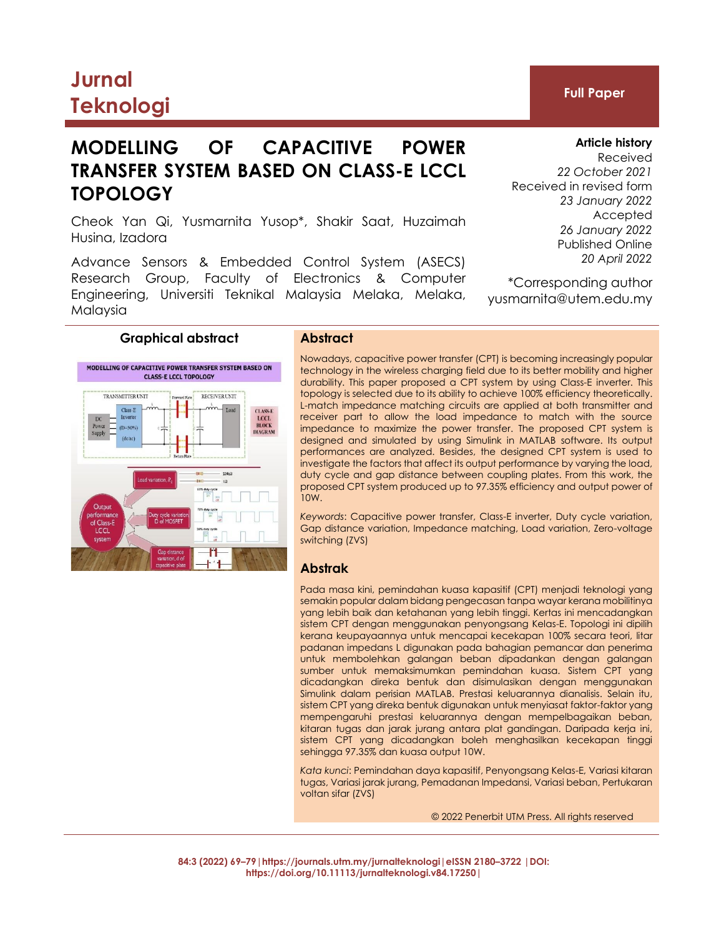# **Jurnal Teknologi Full Paper**

# **MODELLING OF CAPACITIVE POWER TRANSFER SYSTEM BASED ON CLASS-E LCCL TOPOLOGY**

Cheok Yan Qi, Yusmarnita Yusop\*, Shakir Saat, Huzaimah Husina, Izadora

Advance Sensors & Embedded Control System (ASECS) Research Group, Faculty of Electronics & Computer Engineering, Universiti Teknikal Malaysia Melaka, Melaka, Malaysia

# **Graphical abstract Abstract**



Nowadays, capacitive power transfer (CPT) is becoming increasingly popular technology in the wireless charging field due to its better mobility and higher durability. This paper proposed a CPT system by using Class-E inverter. This topology is selected due to its ability to achieve 100% efficiency theoretically. L-match impedance matching circuits are applied at both transmitter and receiver part to allow the load impedance to match with the source impedance to maximize the power transfer. The proposed CPT system is designed and simulated by using Simulink in MATLAB software. Its output performances are analyzed. Besides, the designed CPT system is used to investigate the factors that affect its output performance by varying the load, duty cycle and gap distance between coupling plates. From this work, the proposed CPT system produced up to 97.35% efficiency and output power of  $10W$ 

*Keywords*: Capacitive power transfer, Class-E inverter, Duty cycle variation, Gap distance variation, Impedance matching, Load variation, Zero-voltage switching (ZVS)

# **Abstrak**

Pada masa kini, pemindahan kuasa kapasitif (CPT) menjadi teknologi yang semakin popular dalam bidang pengecasan tanpa wayar kerana mobilitinya yang lebih baik dan ketahanan yang lebih tinggi. Kertas ini mencadangkan sistem CPT dengan menggunakan penyongsang Kelas-E. Topologi ini dipilih kerana keupayaannya untuk mencapai kecekapan 100% secara teori, litar padanan impedans L digunakan pada bahagian pemancar dan penerima untuk membolehkan galangan beban dipadankan dengan galangan sumber untuk memaksimumkan pemindahan kuasa. Sistem CPT yang dicadangkan direka bentuk dan disimulasikan dengan menggunakan Simulink dalam perisian MATLAB. Prestasi keluarannya dianalisis. Selain itu, sistem CPT yang direka bentuk digunakan untuk menyiasat faktor-faktor yang mempengaruhi prestasi keluarannya dengan mempelbagaikan beban, kitaran tugas dan jarak jurang antara plat gandingan. Daripada kerja ini, sistem CPT yang dicadangkan boleh menghasilkan kecekapan tinggi sehingga 97.35% dan kuasa output 10W.

*Kata kunci*: Pemindahan daya kapasitif, Penyongsang Kelas-E, Variasi kitaran tugas, Variasi jarak jurang, Pemadanan Impedansi, Variasi beban, Pertukaran voltan sifar (ZVS)

© 2022 Penerbit UTM Press. All rights reserved

**84:3 (2022) 69–79|https://journals.utm.my/jurnalteknologi|eISSN 2180–3722 |DOI: https://doi.org/10.11113/jurnalteknologi.v84.17250|**

**Article history**

Received *22 October 2021* Received in revised form *23 January 2022* Accepted *26 January 2022* Published Online *20 April 2022*

\*Corresponding author yusmarnita@utem.edu.my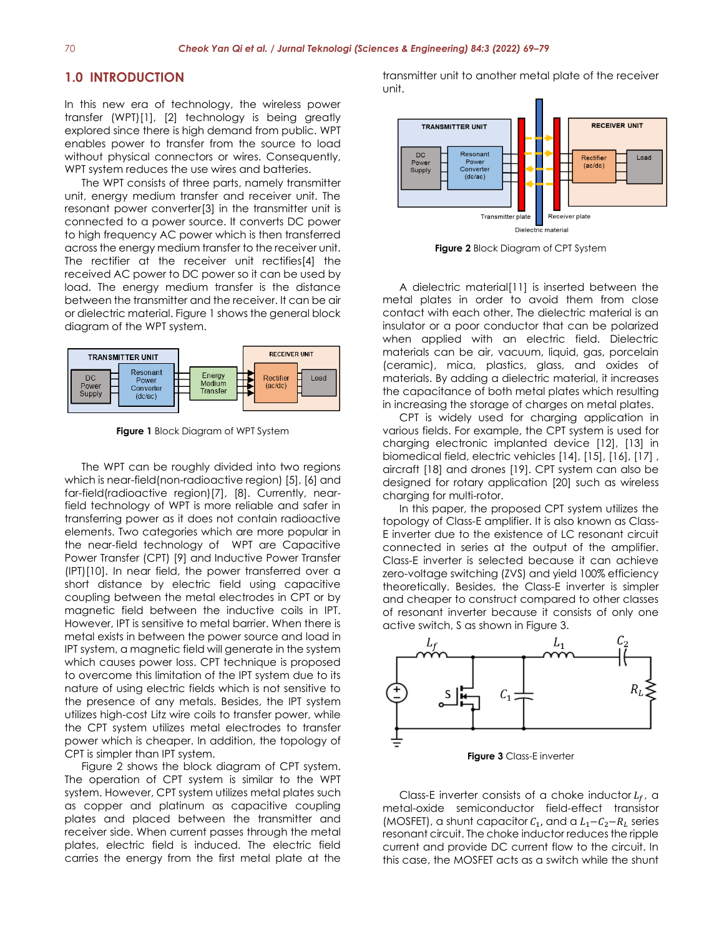# **1.0 INTRODUCTION**

In this new era of technology, the wireless power transfer (WPT)[1], [2] technology is being greatly explored since there is high demand from public. WPT enables power to transfer from the source to load without physical connectors or wires. Consequently, WPT system reduces the use wires and batteries.

The WPT consists of three parts, namely transmitter unit, energy medium transfer and receiver unit. The resonant power converter[3] in the transmitter unit is connected to a power source. It converts DC power to high frequency AC power which is then transferred across the energy medium transfer to the receiver unit. The rectifier at the receiver unit rectifies[4] the received AC power to DC power so it can be used by load. The energy medium transfer is the distance between the transmitter and the receiver. It can be air or dielectric material. Figure 1 shows the general block diagram of the WPT system.



**Figure 1** Block Diagram of WPT System

The WPT can be roughly divided into two regions which is near-field(non-radioactive region) [5], [6] and far-field(radioactive region)[7], [8]. Currently, nearfield technology of WPT is more reliable and safer in transferring power as it does not contain radioactive elements. Two categories which are more popular in the near-field technology of WPT are Capacitive Power Transfer (CPT) [9] and Inductive Power Transfer (IPT)[10]. In near field, the power transferred over a short distance by electric field using capacitive coupling between the metal electrodes in CPT or by magnetic field between the inductive coils in IPT. However, IPT is sensitive to metal barrier. When there is metal exists in between the power source and load in IPT system, a magnetic field will generate in the system which causes power loss. CPT technique is proposed to overcome this limitation of the IPT system due to its nature of using electric fields which is not sensitive to the presence of any metals. Besides, the IPT system utilizes high-cost Litz wire coils to transfer power, while the CPT system utilizes metal electrodes to transfer power which is cheaper. In addition, the topology of CPT is simpler than IPT system.

Figure 2 shows the block diagram of CPT system. The operation of CPT system is similar to the WPT system. However, CPT system utilizes metal plates such as copper and platinum as capacitive coupling plates and placed between the transmitter and receiver side. When current passes through the metal plates, electric field is induced. The electric field carries the energy from the first metal plate at the transmitter unit to another metal plate of the receiver unit.



**Figure 2** Block Diagram of CPT System

A dielectric material[11] is inserted between the metal plates in order to avoid them from close contact with each other. The dielectric material is an insulator or a poor conductor that can be polarized when applied with an electric field. Dielectric materials can be air, vacuum, liquid, gas, porcelain (ceramic), mica, plastics, glass, and oxides of materials. By adding a dielectric material, it increases the capacitance of both metal plates which resulting in increasing the storage of charges on metal plates.

CPT is widely used for charging application in various fields. For example, the CPT system is used for charging electronic implanted device [12], [13] in biomedical field, electric vehicles [14], [15], [16], [17] , aircraft [18] and drones [19]. CPT system can also be designed for rotary application [20] such as wireless charging for multi-rotor.

In this paper, the proposed CPT system utilizes the topology of Class-E amplifier. It is also known as Class-E inverter due to the existence of LC resonant circuit connected in series at the output of the amplifier. Class-E inverter is selected because it can achieve zero-voltage switching (ZVS) and yield 100% efficiency theoretically. Besides, the Class-E inverter is simpler and cheaper to construct compared to other classes of resonant inverter because it consists of only one active switch, S as shown in Figure 3.



**Figure 3** Class-E inverter

Class-E inverter consists of a choke inductor  $L_f$ , a metal-oxide semiconductor field-effect transistor (MOSFET), a shunt capacitor  $C_1$ , and a  $L_1 - C_2 - R_L$  series resonant circuit. The choke inductor reduces the ripple current and provide DC current flow to the circuit. In this case, the MOSFET acts as a switch while the shunt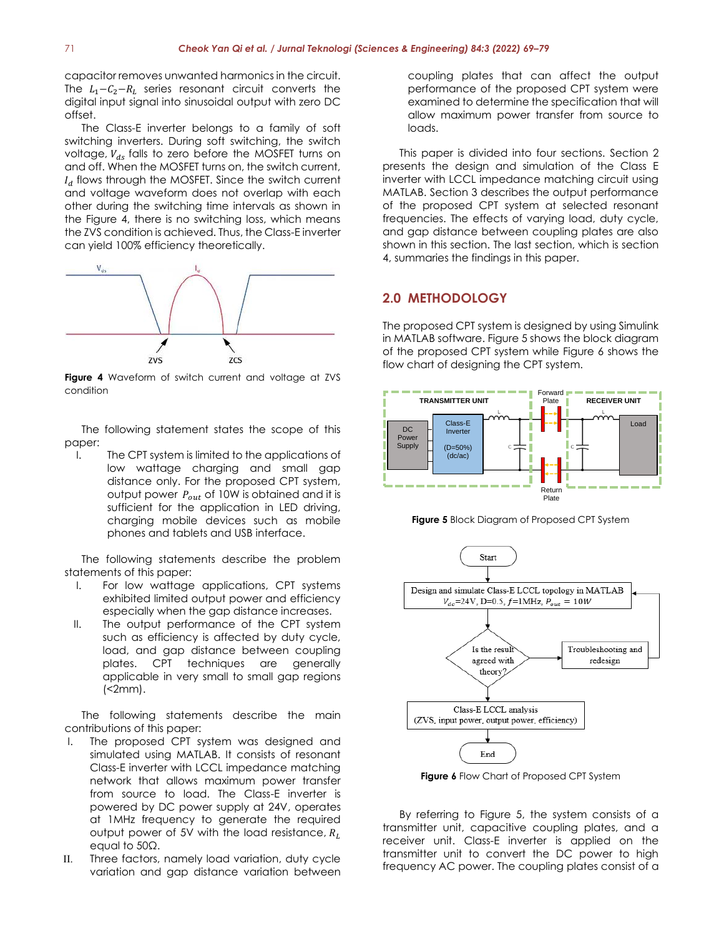capacitor removes unwanted harmonics in the circuit. The  $L_1 - C_2 - R_L$  series resonant circuit converts the digital input signal into sinusoidal output with zero DC offset.

The Class-E inverter belongs to a family of soft switching inverters. During soft switching, the switch voltage,  $V_{ds}$  falls to zero before the MOSFET turns on and off. When the MOSFET turns on, the switch current,  $I_d$  flows through the MOSFET. Since the switch current and voltage waveform does not overlap with each other during the switching time intervals as shown in the Figure 4, there is no switching loss, which means the ZVS condition is achieved. Thus, the Class-E inverter can yield 100% efficiency theoretically.



**Figure 4** Waveform of switch current and voltage at ZVS condition

The following statement states the scope of this paper:

I. The CPT system is limited to the applications of low wattage charging and small gap distance only. For the proposed CPT system, output power  $P_{out}$  of 10W is obtained and it is sufficient for the application in LED driving, charging mobile devices such as mobile phones and tablets and USB interface.

The following statements describe the problem statements of this paper:

- I. For low wattage applications, CPT systems exhibited limited output power and efficiency especially when the gap distance increases.
- II. The output performance of the CPT system such as efficiency is affected by duty cycle, load, and gap distance between coupling plates. CPT techniques are generally applicable in very small to small gap regions  $\left($  <2mm $\right)$ .

The following statements describe the main contributions of this paper:

- I. The proposed CPT system was designed and simulated using MATLAB. It consists of resonant Class-E inverter with LCCL impedance matching network that allows maximum power transfer from source to load. The Class-E inverter is powered by DC power supply at 24V, operates at 1MHz frequency to generate the required output power of 5V with the load resistance,  $R_L$ equal to 50Ω.
- II. Three factors, namely load variation, duty cycle variation and gap distance variation between

coupling plates that can affect the output performance of the proposed CPT system were examined to determine the specification that will allow maximum power transfer from source to loads.

This paper is divided into four sections. Section 2 presents the design and simulation of the Class E inverter with LCCL impedance matching circuit using MATLAB. Section 3 describes the output performance of the proposed CPT system at selected resonant frequencies. The effects of varying load, duty cycle, and gap distance between coupling plates are also shown in this section. The last section, which is section 4, summaries the findings in this paper.

# **2.0 METHODOLOGY**

The proposed CPT system is designed by using Simulink in MATLAB software. Figure 5 shows the block diagram of the proposed CPT system while Figure 6 shows the flow chart of designing the CPT system.







**Figure 6** Flow Chart of Proposed CPT System

By referring to Figure 5, the system consists of a transmitter unit, capacitive coupling plates, and a receiver unit. Class-E inverter is applied on the transmitter unit to convert the DC power to high frequency AC power. The coupling plates consist of a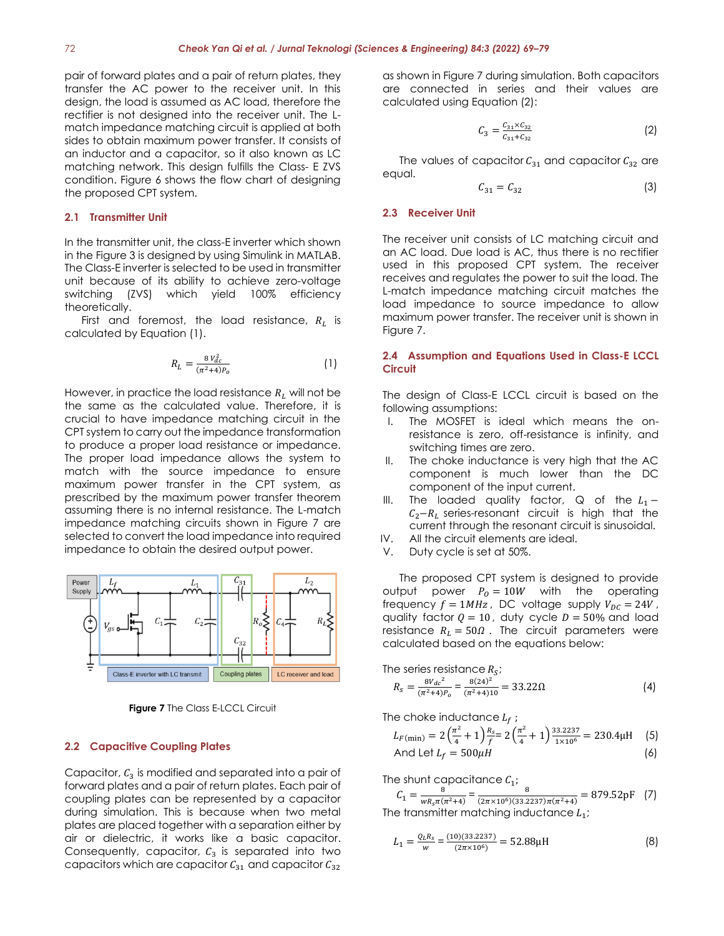pair of forward plates and a pair of return plates, they transfer the AC power to the receiver unit. In this design, the load is assumed as AC load, therefore the rectifier is not designed into the receiver unit. The Lmatch impedance matching circuit is applied at both sides to obtain maximum power transfer. It consists of an inductor and a capacitor, so it also known as LC matching network. This design fulfills the Class- E ZVS condition. Figure 6 shows the flow chart of designing the proposed CPT system.

# **2.1 Transmitter Unit**

In the transmitter unit, the class-E inverter which shown in the Figure 3 is designed by using Simulink in MATLAB. The Class-E inverter is selected to be used in transmitter unit because of its ability to achieve zero-voltage switching (ZVS) which yield 100% efficiency theoretically.

First and foremost, the load resistance,  $R_L$  is calculated by Equation (1).

$$
R_L = \frac{8\,V_{dc}^2}{(\pi^2 + 4)P_o} \tag{1}
$$

However, in practice the load resistance  $R_L$  will not be the same as the calculated value. Therefore, it is crucial to have impedance matching circuit in the CPT system to carry out the impedance transformation to produce a proper load resistance or impedance. The proper load impedance allows the system to match with the source impedance to ensure maximum power transfer in the CPT system, as prescribed by the maximum power transfer theorem assuming there is no internal resistance. The L-match impedance matching circuits shown in Figure 7 are selected to convert the load impedance into required impedance to obtain the desired output power.



**Figure 7** The Class E-LCCL Circuit

## **2.2 Capacitive Coupling Plates**

Capacitor,  $C_3$  is modified and separated into a pair of forward plates and a pair of return plates. Each pair of coupling plates can be represented by a capacitor during simulation. This is because when two metal plates are placed together with a separation either by air or dielectric, it works like a basic capacitor. Consequently, capacitor,  $C_3$  is separated into two capacitors which are capacitor  $C_{31}$  and capacitor  $C_{32}$ 

as shown in Figure 7 during simulation. Both capacitors are connected in series and their values are calculated using Equation (2):

$$
C_3 = \frac{C_{31} \times C_{32}}{C_{31} + C_{32}} \tag{2}
$$

The values of capacitor  $C_{31}$  and capacitor  $C_{32}$  are equal.

$$
C_{31} = C_{32} \tag{3}
$$

#### **2.3 Receiver Unit**

The receiver unit consists of LC matching circuit and an AC load. Due load is AC, thus there is no rectifier used in this proposed CPT system. The receiver receives and regulates the power to suit the load. The L-match impedance matching circuit matches the load impedance to source impedance to allow maximum power transfer. The receiver unit is shown in Figure 7.

# **2.4 Assumption and Equations Used in Class-E LCCL Circuit**

The design of Class-E LCCL circuit is based on the following assumptions:

- I. The MOSFET is ideal which means the onresistance is zero, off-resistance is infinity, and switching times are zero.
- II. The choke inductance is very high that the AC component is much lower than the DC component of the input current.
- III. The loaded quality factor, Q of the  $L_1 C_2-R_L$  series-resonant circuit is high that the current through the resonant circuit is sinusoidal.
- IV. All the circuit elements are ideal.
- V. Duty cycle is set at 50%.

The proposed CPT system is designed to provide output power  $P_0 = 10W$  with the operating frequency  $f = 1MHz$ , DC voltage supply  $V_{DC} = 24V$ , quality factor  $Q = 10$ , duty cycle  $D = 50\%$  and load resistance  $R_L = 50\Omega$ . The circuit parameters were calculated based on the equations below:

The series resistance 
$$
R_S
$$
;  
\n
$$
R_S = \frac{8V_{dc}^2}{(\pi^2 + 4)P_0} = \frac{8(24)^2}{(\pi^2 + 4)10} = 33.22\Omega
$$
\n(4)

The choke inductance  $L_f$ ;

$$
L_{F(\min)} = 2\left(\frac{\pi^2}{4} + 1\right)\frac{R_s}{f} = 2\left(\frac{\pi^2}{4} + 1\right)\frac{33.2237}{1 \times 10^6} = 230.4\mu\text{H} \quad (5)
$$
  
And Let  $L_f = 500\mu\text{H}$  (6)

The shunt capacitance  $C_1$ ;  $C_1 = \frac{8}{w R \pi G}$  $\frac{8}{wR_s\pi(\pi^2+4)} = \frac{8}{(2\pi\times10^6)(33.2)}$  $\frac{6}{(2\pi \times 10^6)(33.2237)\pi(\pi^2+4)} = 879.52 \text{pF}$  (7) The transmitter matching inductance  $L_1$ ;

$$
L_1 = \frac{Q_L R_s}{w} = \frac{(10)(33.2237)}{(2\pi \times 10^6)} = 52.88 \mu\text{H}
$$
 (8)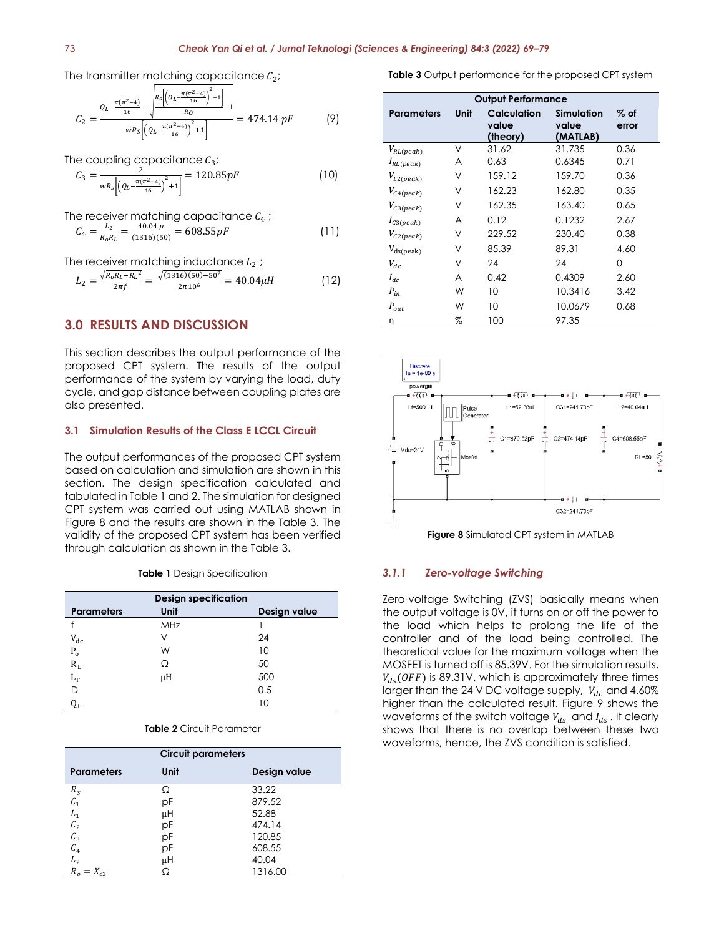The transmitter matching capacitance  $C_2$ ;

$$
C_2 = \frac{Q_L - \frac{\pi(\pi^2 - 4)}{16} - \sqrt{\frac{k_S \left[ \left( Q_L - \frac{\pi(\pi^2 - 4)}{16} \right)^2 + 1 \right]}{R_O}}}{wR_S \left[ \left( Q_L - \frac{\pi(\pi^2 - 4)}{16} \right)^2 + 1 \right]} = 474.14 \ pF \tag{9}
$$

The coupling capacitance  $C_3$ ;

$$
C_3 = \frac{2}{wR_s \left[ \left( Q_L - \frac{\pi(\pi^2 - 4)}{16} \right)^2 + 1 \right]} = 120.85pF
$$
 (10)

The receiver matching capacitance 
$$
C_4
$$
 ;  
\n
$$
C_4 = \frac{L_2}{R_0 R_L} = \frac{40.04 \,\mu}{(1316)(50)} = 608.55 pF
$$
\n(11)

The receiver matching inductance  $L_2$ ;

$$
L_2 = \frac{\sqrt{R_0 R_L - R_L^2}}{2\pi f} = \frac{\sqrt{(1316)(50) - 50^2}}{2\pi 10^6} = 40.04 \mu H
$$
 (12)

# **3.0 RESULTS AND DISCUSSION**

This section describes the output performance of the proposed CPT system. The results of the output performance of the system by varying the load, duty cycle, and gap distance between coupling plates are also presented.

# **3.1 Simulation Results of the Class E LCCL Circuit**

The output performances of the proposed CPT system based on calculation and simulation are shown in this section. The design specification calculated and tabulated in Table 1 and 2. The simulation for designed CPT system was carried out using MATLAB shown in Figure 8 and the results are shown in the Table 3. The validity of the proposed CPT system has been verified through calculation as shown in the Table 3.

**Table 1** Design Specification

|                         | <b>Design specification</b> |              |
|-------------------------|-----------------------------|--------------|
| <b>Parameters</b>       | Unit                        | Design value |
|                         | MHz                         |              |
| $V_{dc}$                | ν                           | 24           |
| $P_{o}$                 | W                           | 10           |
| $R_L$                   | Ω                           | 50           |
| $L_{\rm F}$             | μH                          | 500          |
|                         |                             | 0.5          |
| $\mathsf{Q}_\mathsf{L}$ |                             | 10           |

### **Table 2** Circuit Parameter

|                                                  | <b>Circuit parameters</b> |              |
|--------------------------------------------------|---------------------------|--------------|
| <b>Parameters</b>                                | Unit                      | Design value |
| $R_S \atop C_1$                                  | Ω                         | 33.22        |
|                                                  | рF                        | 879.52       |
| $L_1$                                            | μH                        | 52.88        |
|                                                  | рF                        | 474.14       |
| $\begin{array}{c} C_2 \\ C_3 \\ C_4 \end{array}$ | рF                        | 120.85       |
|                                                  | pF                        | 608.55       |
| L <sub>2</sub>                                   | μH                        | 40.04        |
| $R_{o}$<br>$=X_{c3}$                             | Ω                         | 1316.00      |

**Table 3** Output performance for the proposed CPT system

| <b>Output Performance</b> |      |             |            |       |  |
|---------------------------|------|-------------|------------|-------|--|
| <b>Parameters</b>         | Unit | Calculation | Simulation | % of  |  |
|                           |      | value       | value      | error |  |
|                           |      | (theory)    | (MATLAB)   |       |  |
| $V_{RL (peak)}$           | ν    | 31.62       | 31.735     | 0.36  |  |
| $I_{RL (peak)}$           | A    | 0.63        | 0.6345     | 0.71  |  |
| $V_{L2 (peak)}$           | ٧    | 159.12      | 159.70     | 0.36  |  |
| $V_{C4 (peak)}$           | ν    | 162.23      | 162.80     | 0.35  |  |
| $V_{C3 (peak)}$           | ٧    | 162.35      | 163.40     | 0.65  |  |
| $I_{C3 (peak)}$           | A    | 0.12        | 0.1232     | 2.67  |  |
| $V_{C2 (peak)}$           | ν    | 229.52      | 230.40     | 0.38  |  |
| $V_{ds (peak)}$           | ν    | 85.39       | 89.31      | 4.60  |  |
| $V_{dc}$                  | ٧    | 24          | 24         | 0     |  |
| $I_{dc}$                  | A    | 0.42        | 0.4309     | 2.60  |  |
| $P_{in}$                  | W    | 10          | 10.3416    | 3.42  |  |
| $P_{out}$                 | W    | 10          | 10.0679    | 0.68  |  |
| η                         | %    | 100         | 97.35      |       |  |



**Figure 8** Simulated CPT system in MATLAB

## *3.1.1 Zero-voltage Switching*

Zero-voltage Switching (ZVS) basically means when the output voltage is 0V, it turns on or off the power to the load which helps to prolong the life of the controller and of the load being controlled. The theoretical value for the maximum voltage when the MOSFET is turned off is 85.39V. For the simulation results,  $V_{ds}(OFF)$  is 89.31V, which is approximately three times larger than the 24 V DC voltage supply,  $V_{dc}$  and 4.60% higher than the calculated result. Figure 9 shows the waveforms of the switch voltage  $V_{ds}$  and  $I_{ds}$ . It clearly shows that there is no overlap between these two waveforms, hence, the ZVS condition is satisfied.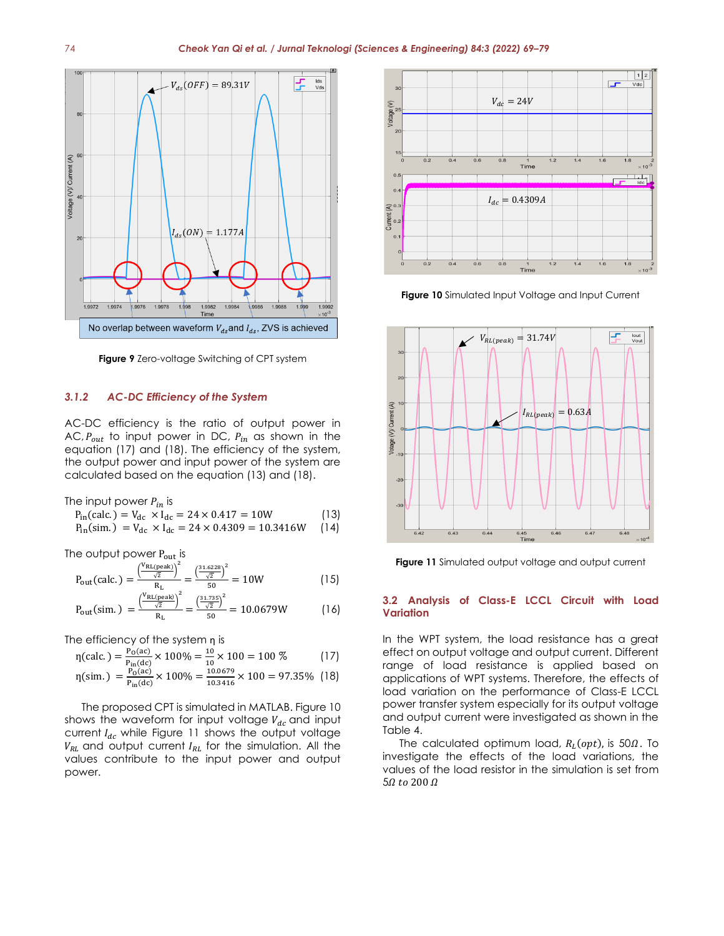

**Figure 9** Zero-voltage Switching of CPT system

## *3.1.2 AC-DC Efficiency of the System*

AC-DC efficiency is the ratio of output power in AC,  $P_{out}$  to input power in DC,  $P_{in}$  as shown in the equation (17) and (18). The efficiency of the system, the output power and input power of the system are calculated based on the equation (13) and (18).

The input power  $P_{in}$  is

$$
P_{in}(\text{calc.}) = V_{dc} \times I_{dc} = 24 \times 0.417 = 10W
$$
\n(13)  
\n
$$
P_{in}(\text{sim.}) = V_{dc} \times I_{dc} = 24 \times 0.4309 = 10.3416W
$$
\n(14)

The output power  $P_{out}$  is

$$
P_{\text{out}}(\text{calc.}) = \frac{\left(\frac{V_{\text{RL(peak)}}}{\sqrt{2}}\right)^2}{R_{\text{L}}} = \frac{\left(\frac{31.6228}{\sqrt{2}}\right)^2}{50} = 10W\tag{15}
$$

$$
P_{\text{out}}(\text{sim.}) = \frac{\left(\frac{V_{\text{RL(peak)}}}{\sqrt{2}}\right)^2}{R_{\text{L}}} = \frac{\left(\frac{31.735}{\sqrt{2}}\right)^2}{50} = 10.0679W
$$
 (16)

The efficiency of the system n is

$$
\eta(\text{calc.}) = \frac{P_0(\text{ac})}{P_{\text{in}}(\text{dc})} \times 100\% = \frac{10}{10} \times 100 = 100\% \tag{17}
$$

$$
\eta(\text{sim.}) = \frac{P_0(\text{ac})}{P_{\text{in}}(\text{dc})} \times 100\% = \frac{10.0679}{10.3416} \times 100 = 97.35\% \quad (18)
$$

The proposed CPT is simulated in MATLAB. Figure 10 shows the waveform for input voltage  $V_{dc}$  and input current  $I_{dc}$  while Figure 11 shows the output voltage  $V_{RL}$  and output current  $I_{RL}$  for the simulation. All the values contribute to the input power and output power.



**Figure 10** Simulated Input Voltage and Input Current



**Figure 11** Simulated output voltage and output current

### **3.2 Analysis of Class-E LCCL Circuit with Load Variation**

In the WPT system, the load resistance has a great effect on output voltage and output current. Different range of load resistance is applied based on applications of WPT systems. Therefore, the effects of load variation on the performance of Class-E LCCL power transfer system especially for its output voltage and output current were investigated as shown in the Table 4.

The calculated optimum load,  $R_L(opt)$ , is 50 $\Omega$ . To investigate the effects of the load variations, the values of the load resistor in the simulation is set from  $5\Omega$  to 200  $\Omega$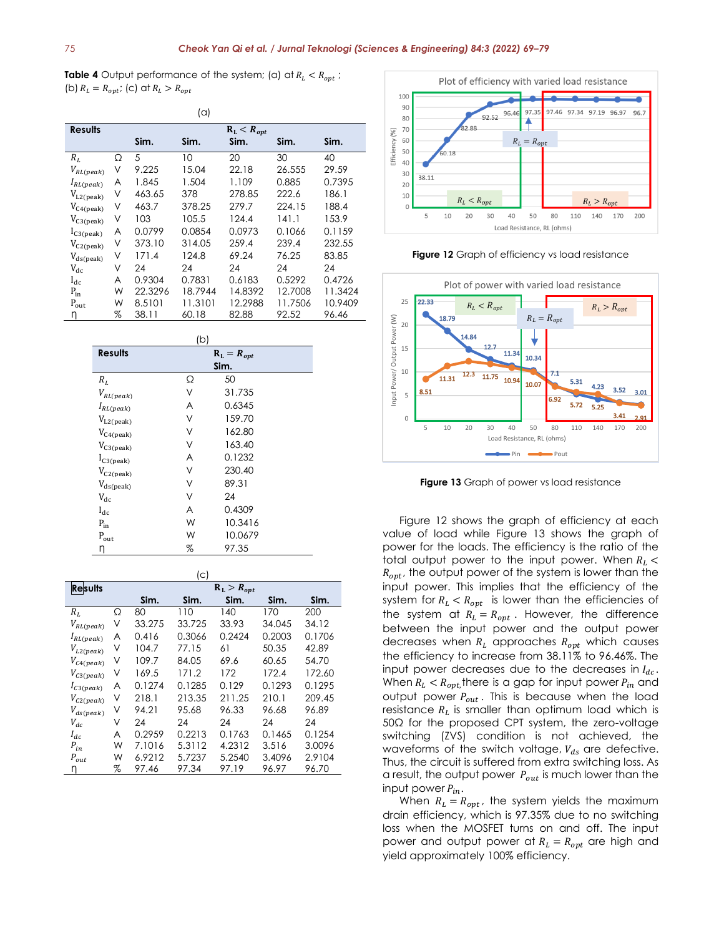**Table 4** Output performance of the system; (a) at  $R_L < R_{opt}$ ; (b)  $R_L = R_{opt}$ ; (c) at  $R_L > R_{opt}$ 

| $(\alpha)$       |   |         |         |                 |         |         |
|------------------|---|---------|---------|-----------------|---------|---------|
| <b>Results</b>   |   |         |         | $R_L < R_{opt}$ |         |         |
|                  |   | Sim.    | Sim.    | Sim.            | Sim.    | Sim.    |
| $R_L$            | Ω | 5       | 10      | 20              | 30      | 40      |
| $V_{RL (peak)}$  | ٧ | 9.225   | 15.04   | 22.18           | 26.555  | 29.59   |
| $I_{RL(peak)}$   | A | 1.845   | 1.504   | 1.109           | 0.885   | 0.7395  |
| $V_{L2 (peak)}$  | ٧ | 463.65  | 378     | 278.85          | 222.6   | 186.1   |
| $V_{C4 (peak)}$  | ٧ | 463.7   | 378.25  | 279.7           | 224.15  | 188.4   |
| $V_{C3 (peak)}$  | ٧ | 103     | 105.5   | 124.4           | 141.1   | 153.9   |
| $I_{C3 (peak)}$  | A | 0.0799  | 0.0854  | 0.0973          | 0.1066  | 0.1159  |
| $V_{C2 (peak)}$  | ٧ | 373.10  | 314.05  | 259.4           | 239.4   | 232.55  |
| $V_{ds (peak)}$  | ٧ | 171.4   | 124.8   | 69.24           | 76.25   | 83.85   |
| $V_{dc}$         | ν | 24      | 24      | 24              | 24      | 24      |
| $I_{dc}$         | A | 0.9304  | 0.7831  | 0.6183          | 0.5292  | 0.4726  |
| $P_{in}$         | W | 22.3296 | 18.7944 | 14.8392         | 12.7008 | 11.3424 |
| $P_{\text{out}}$ | W | 8.5101  | 11.3101 | 12.2988         | 11.7506 | 10.9409 |
| η                | % | 38.11   | 60.18   | 82.88           | 92.52   | 96.46   |

| (b)                |                   |         |  |  |
|--------------------|-------------------|---------|--|--|
| <b>Results</b>     | $R_{L} = R_{opt}$ |         |  |  |
|                    |                   | Sim.    |  |  |
| $\boldsymbol{R}_L$ | Ω                 | 50      |  |  |
| $V_{RL (peak)}$    | ٧                 | 31.735  |  |  |
| $I_{RL (peak)}$    | A                 | 0.6345  |  |  |
| $V_{L2 (peak)}$    | ٧                 | 159.70  |  |  |
| $V_{C4 (peak)}$    | ٧                 | 162.80  |  |  |
| $V_{C3 (peak)}$    | ٧                 | 163.40  |  |  |
| $I_{C3 (peak)}$    | A                 | 0.1232  |  |  |
| $V_{C2 (peak)}$    | ٧                 | 230.40  |  |  |
| $V_{ds (peak)}$    | ٧                 | 89.31   |  |  |
| $V_{dc}$           | ٧                 | 24      |  |  |
| $I_{dc}$           | A                 | 0.4309  |  |  |
| $P_{\rm in}$       | W                 | 10.3416 |  |  |
| $P_{\rm out}$      | W                 | 10.0679 |  |  |
| η                  | %                 | 97.35   |  |  |

|                     |   |        | (c)    |                   |        |        |
|---------------------|---|--------|--------|-------------------|--------|--------|
| <b>Results</b>      |   |        |        | $R_{L} > R_{opt}$ |        |        |
|                     |   | Sim.   | Sim.   | Sim.              | Sim.   | Sim.   |
| $R_L$               | Ω | 80     | 110    | 140               | 170    | 200    |
| $V_{RL (peak)}$     | ٧ | 33.275 | 33.725 | 33.93             | 34.045 | 34.12  |
| $I_{RL(peak)}$      | A | 0.416  | 0.3066 | 0.2424            | 0.2003 | 0.1706 |
| $V_{L2 (peak)}$     | ν | 104.7  | 77.15  | 61                | 50.35  | 42.89  |
| $V_{C4 (peak)}$     | ٧ | 109.7  | 84.05  | 69.6              | 60.65  | 54.70  |
| $V_{C3 (peak)}$     | ٧ | 169.5  | 171.2  | 172               | 172.4  | 172.60 |
| $I_{C3 (peak)}$     | A | 0.1274 | 0.1285 | 0.129             | 0.1293 | 0.1295 |
| $V_{C2 (peak)}$     | ٧ | 218.1  | 213.35 | 211.25            | 210.1  | 209.45 |
| $V_{ds (peak)}$     | ٧ | 94.21  | 95.68  | 96.33             | 96.68  | 96.89  |
| $V_{dc}$            | ٧ | 24     | 24     | 24                | 24     | 24     |
| $I_{dc}$            | A | 0.2959 | 0.2213 | 0.1763            | 0.1465 | 0.1254 |
| $\mathfrak{P}_{in}$ | W | 7.1016 | 5.3112 | 4.2312            | 3.516  | 3.0096 |
| $P_{out}$           | W | 6.9212 | 5.7237 | 5.2540            | 3.4096 | 2.9104 |
| η                   | % | 97.46  | 97.34  | 97.19             | 96.97  | 96.70  |



**Figure 12** Graph of efficiency vs load resistance



**Figure 13** Graph of power vs load resistance

Figure 12 shows the graph of efficiency at each value of load while Figure 13 shows the graph of power for the loads. The efficiency is the ratio of the total output power to the input power. When  $R_L$  <  $R_{\text{out}}$ , the output power of the system is lower than the input power. This implies that the efficiency of the system for  $R_L < R_{opt}$  is lower than the efficiencies of the system at  $R_L = R_{opt}$ . However, the difference between the input power and the output power decreases when  $R_L$  approaches  $R_{opt}$  which causes the efficiency to increase from 38.11% to 96.46%. The input power decreases due to the decreases in  $I_{dc}$ . When  $R_L < R_{opt}$ , there is a gap for input power  $P_{in}$  and output power  $P_{out}$ . This is because when the load resistance  $R_L$  is smaller than optimum load which is 50Ω for the proposed CPT system, the zero-voltage switching (ZVS) condition is not achieved, the waveforms of the switch voltage,  $V_{ds}$  are defective. Thus, the circuit is suffered from extra switching loss. As a result, the output power  $P_{out}$  is much lower than the input power  $P_{in}$ .

When  $R_L = R_{opt}$ , the system yields the maximum drain efficiency, which is 97.35% due to no switching loss when the MOSFET turns on and off. The input power and output power at  $R_L = R_{opt}$  are high and yield approximately 100% efficiency.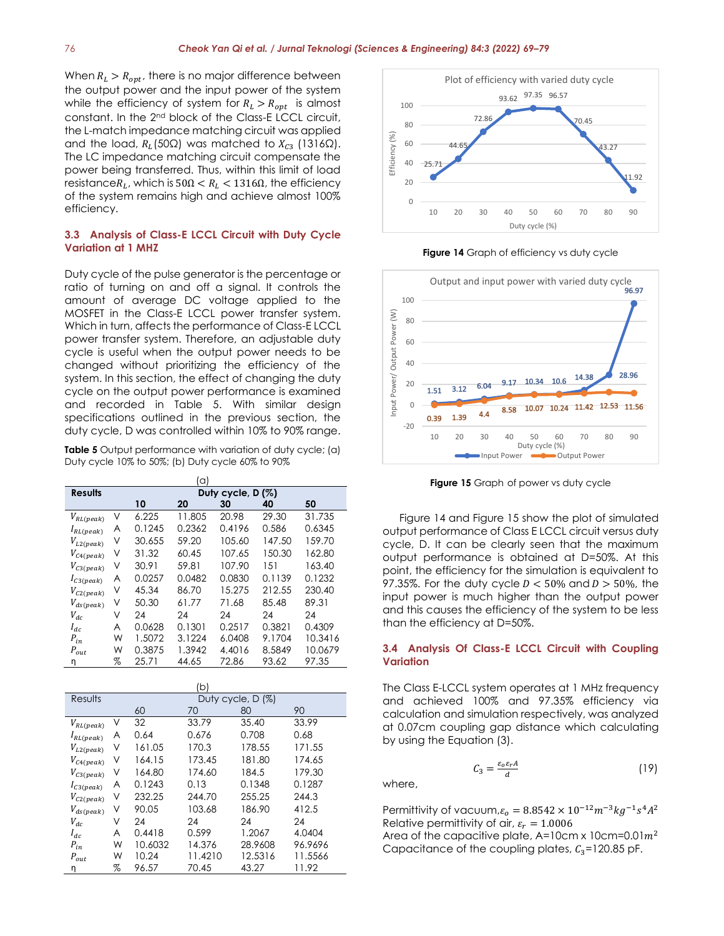When  $R_L > R_{opt}$ , there is no major difference between the output power and the input power of the system while the efficiency of system for  $R_L > R_{opt}$  is almost constant. In the 2nd block of the Class-E LCCL circuit, the L-match impedance matching circuit was applied and the load,  $R_L(50\Omega)$  was matched to  $X_{C3}$  (1316 $\Omega$ ). The LC impedance matching circuit compensate the power being transferred. Thus, within this limit of load resistance $R_L$ , which is 50 $\Omega < R_L < 1316 \Omega$ , the efficiency of the system remains high and achieve almost 100% efficiency.

# **3.3 Analysis of Class-E LCCL Circuit with Duty Cycle Variation at 1 MHZ**

Duty cycle of the pulse generator is the percentage or ratio of turning on and off a signal. It controls the amount of average DC voltage applied to the MOSFET in the Class-E LCCL power transfer system. Which in turn, affects the performance of Class-E LCCL power transfer system. Therefore, an adjustable duty cycle is useful when the output power needs to be changed without prioritizing the efficiency of the system. In this section, the effect of changing the duty cycle on the output power performance is examined and recorded in Table 5. With similar design specifications outlined in the previous section, the duty cycle, D was controlled within 10% to 90% range.

**Table 5** Output performance with variation of duty cycle; (a) Duty cycle 10% to 50%; (b) Duty cycle 60% to 90%

|                 |   |                   | (a)    |        |        |         |  |  |
|-----------------|---|-------------------|--------|--------|--------|---------|--|--|
| <b>Results</b>  |   | Duty cycle, D (%) |        |        |        |         |  |  |
|                 |   | 10                | 20     | 30     | 40     | 50      |  |  |
| $V_{RL (peak)}$ | V | 6.225             | 11.805 | 20.98  | 29.30  | 31.735  |  |  |
| $I_{RL(peak)}$  | A | 0.1245            | 0.2362 | 0.4196 | 0.586  | 0.6345  |  |  |
| $V_{L2 (peak)}$ | ٧ | 30.655            | 59.20  | 105.60 | 147.50 | 159.70  |  |  |
| $V_{C4 (peak)}$ | V | 31.32             | 60.45  | 107.65 | 150.30 | 162.80  |  |  |
| $V_{C3 (peak)}$ | ٧ | 30.91             | 59.81  | 107.90 | 151    | 163.40  |  |  |
| $I_{C3 (peak)}$ | A | 0.0257            | 0.0482 | 0.0830 | 0.1139 | 0.1232  |  |  |
| $V_{C2 (peak)}$ | V | 45.34             | 86.70  | 15.275 | 212.55 | 230.40  |  |  |
| $V_{ds (peak)}$ | V | 50.30             | 61.77  | 71.68  | 85.48  | 89.31   |  |  |
| $V_{dc}$        | ٧ | 24                | 24     | 24     | 24     | 24      |  |  |
| $I_{dc}$        | A | 0.0628            | 0.1301 | 0.2517 | 0.3821 | 0.4309  |  |  |
| $P_{in}$        | W | 1.5072            | 3.1224 | 6.0408 | 9.1704 | 10.3416 |  |  |
| $P_{out}$       | W | 0.3875            | 1.3942 | 4.4016 | 8.5849 | 10.0679 |  |  |
| η               | % | 25.71             | 44.65  | 72.86  | 93.62  | 97.35   |  |  |

|                 |   |         | (b)     |                   |         |
|-----------------|---|---------|---------|-------------------|---------|
| Results         |   |         |         | Duty cycle, D (%) |         |
|                 |   | 60      | 70      | 80                | 90      |
| $V_{RL (peak)}$ | ٧ | 32      | 33.79   | 35.40             | 33.99   |
| $I_{RL(peak)}$  | A | 0.64    | 0.676   | 0.708             | 0.68    |
| $V_{L2 (peak)}$ | ν | 161.05  | 170.3   | 178.55            | 171.55  |
| $V_{C4 (peak)}$ | ٧ | 164.15  | 173.45  | 181.80            | 174.65  |
| $V_{C3 (peak)}$ | V | 164.80  | 174.60  | 184.5             | 179.30  |
| $I_{C3 (peak)}$ | A | 0.1243  | 0.13    | 0.1348            | 0.1287  |
| $V_{C2 (peak)}$ | ٧ | 232.25  | 244.70  | 255.25            | 244.3   |
| $V_{ds (peak)}$ | ν | 90.05   | 103.68  | 186.90            | 412.5   |
| $V_{dc}$        | ٧ | 24      | 24      | 24                | 24      |
| $I_{dc}$        | A | 0.4418  | 0.599   | 1.2067            | 4.0404  |
| $P_{in}$        | W | 10.6032 | 14.376  | 28.9608           | 96.9696 |
| $P_{out}$       | W | 10.24   | 11.4210 | 12.5316           | 11.5566 |
| η               | % | 96.57   | 70.45   | 43.27             | 11.92   |



**Figure 14** Graph of efficiency vs duty cycle



**Figure 15** Graph of power vs duty cycle

Figure 14 and Figure 15 show the plot of simulated output performance of Class E LCCL circuit versus duty cycle, D. It can be clearly seen that the maximum output performance is obtained at D=50%. At this point, the efficiency for the simulation is equivalent to 97.35%. For the duty cycle  $D < 50\%$  and  $D > 50\%$ , the input power is much higher than the output power and this causes the efficiency of the system to be less than the efficiency at D=50%.

# **3.4 Analysis Of Class-E LCCL Circuit with Coupling Variation**

The Class E-LCCL system operates at 1 MHz frequency and achieved 100% and 97.35% efficiency via calculation and simulation respectively, was analyzed at 0.07cm coupling gap distance which calculating by using the Equation (3).

$$
C_3 = \frac{\varepsilon_0 \varepsilon_r A}{d} \tag{19}
$$

where,

Permittivity of vacuum, $\varepsilon_o = 8.8542 \times 10^{-12} m^{-3} kg^{-1} s^4 A^2$ Relative permittivity of air,  $\varepsilon_r = 1.0006$ 

Area of the capacitive plate,  $A=10$ cm x  $10cm=0.01m^2$ Capacitance of the coupling plates,  $C_3$ =120.85 pF.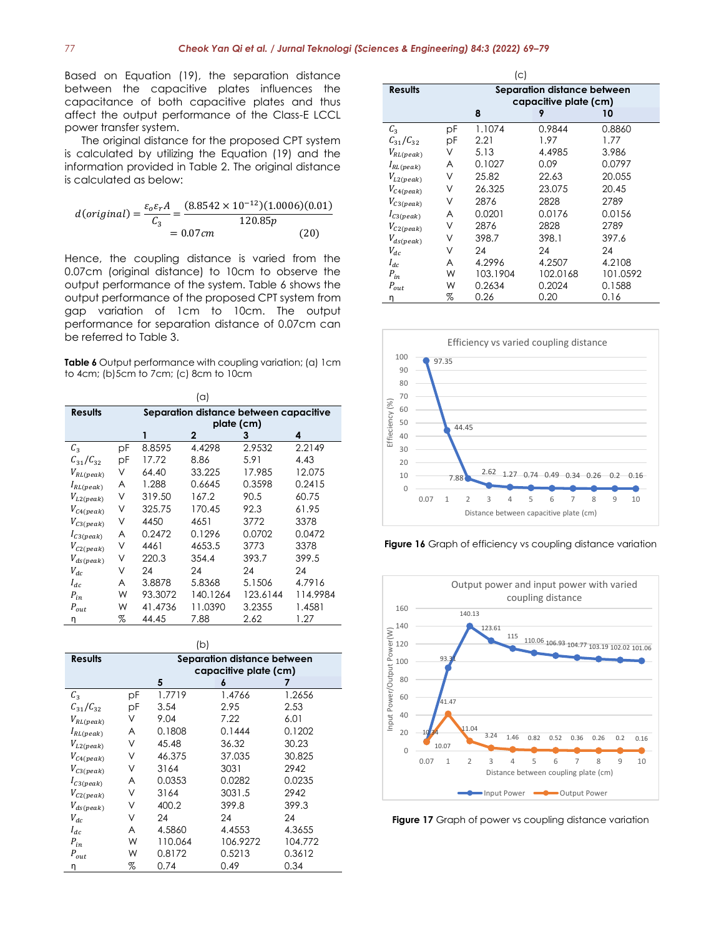Based on Equation (19), the separation distance between the capacitive plates influences the capacitance of both capacitive plates and thus affect the output performance of the Class-E LCCL power transfer system.

The original distance for the proposed CPT system is calculated by utilizing the Equation (19) and the information provided in Table 2. The original distance is calculated as below:

$$
d(original) = \frac{\varepsilon_o \varepsilon_r A}{C_3} = \frac{(8.8542 \times 10^{-12})(1.0006)(0.01)}{120.85p}
$$

$$
= 0.07cm
$$
 (20)

Hence, the coupling distance is varied from the 0.07cm (original distance) to 10cm to observe the output performance of the system. Table 6 shows the output performance of the proposed CPT system from gap variation of 1cm to 10cm. The output performance for separation distance of 0.07cm can be referred to Table 3.

**Table 6** Output performance with coupling variation; (a) 1cm to 4cm; (b)5cm to 7cm; (c) 8cm to 10cm

|                 |                                        |         | (a)          |            |          |  |
|-----------------|----------------------------------------|---------|--------------|------------|----------|--|
| <b>Results</b>  | Separation distance between capacitive |         |              |            |          |  |
|                 |                                        |         |              | plate (cm) |          |  |
|                 |                                        | 1       | $\mathbf{2}$ | 3          | 4        |  |
| $C_3$           | рF                                     | 8.8595  | 4.4298       | 2.9532     | 2.2149   |  |
| $C_{31}/C_{32}$ | рF                                     | 17.72   | 8.86         | 5.91       | 4.43     |  |
| $V_{RL (peak)}$ | ٧                                      | 64.40   | 33.225       | 17.985     | 12.075   |  |
| $I_{RL(peak)}$  | A                                      | 1.288   | 0.6645       | 0.3598     | 0.2415   |  |
| $V_{L2 (peak)}$ | ٧                                      | 319.50  | 167.2        | 90.5       | 60.75    |  |
| $V_{C4 (peak)}$ | ٧                                      | 325.75  | 170.45       | 92.3       | 61.95    |  |
| $V_{C3 (peak)}$ | V                                      | 4450    | 4651         | 3772       | 3378     |  |
| $I_{C3 (peak)}$ | A                                      | 0.2472  | 0.1296       | 0.0702     | 0.0472   |  |
| $V_{C2 (peak)}$ | ٧                                      | 4461    | 4653.5       | 3773       | 3378     |  |
| $V_{ds (peak)}$ | ٧                                      | 220.3   | 354.4        | 393.7      | 399.5    |  |
| $V_{dc}$        | ν                                      | 24      | 24           | 24         | 24       |  |
| $I_{dc}$        | A                                      | 3.8878  | 5.8368       | 5.1506     | 4.7916   |  |
| $P_{in}$        | W                                      | 93.3072 | 140.1264     | 123.6144   | 114.9984 |  |
| $P_{out}$       | W                                      | 41.4736 | 11.0390      | 3.2355     | 1.4581   |  |
| η               | %                                      | 44.45   | 7.88         | 2.62       | 1.27     |  |

(b)

| <b>Results</b>  | Separation distance between |                       |          |         |  |  |  |
|-----------------|-----------------------------|-----------------------|----------|---------|--|--|--|
|                 |                             | capacitive plate (cm) |          |         |  |  |  |
|                 |                             | 5                     | 6        |         |  |  |  |
| $\mathcal{C}_3$ | рF                          | 1.7719                | 1.4766   | 1.2656  |  |  |  |
| $C_{31}/C_{32}$ | pF                          | 3.54                  | 2.95     | 2.53    |  |  |  |
| $V_{RL (peak)}$ | V                           | 9.04                  | 7.22     | 6.01    |  |  |  |
| $I_{RL (peak)}$ | A                           | 0.1808                | 0.1444   | 0.1202  |  |  |  |
| $V_{L2 (peak)}$ | ٧                           | 45.48                 | 36.32    | 30.23   |  |  |  |
| $V_{C4 (peak)}$ | ν                           | 46.375                | 37.035   | 30.825  |  |  |  |
| $V_{C3 (peak)}$ | ٧                           | 3164                  | 3031     | 2942    |  |  |  |
| $I_{C3 (peak)}$ | A                           | 0.0353                | 0.0282   | 0.0235  |  |  |  |
| $V_{C2 (peak)}$ | ٧                           | 3164                  | 3031.5   | 2942    |  |  |  |
| $V_{ds (peak)}$ | ٧                           | 400.2                 | 399.8    | 399.3   |  |  |  |
| $V_{dc}$        | ν                           | 24                    | 24       | 24      |  |  |  |
| $I_{dc}$        | A                           | 4.5860                | 4.4553   | 4.3655  |  |  |  |
| ${\cal P}_{in}$ | W                           | 110.064               | 106.9272 | 104.772 |  |  |  |
| $P_{out}$       | W                           | 0.8172                | 0.5213   | 0.3612  |  |  |  |
| η               | %                           | 0.74                  | 0.49     | 0.34    |  |  |  |

|                 |                             | (C)      |                       |          |  |  |
|-----------------|-----------------------------|----------|-----------------------|----------|--|--|
| <b>Results</b>  | Separation distance between |          |                       |          |  |  |
|                 |                             |          | capacitive plate (cm) |          |  |  |
|                 |                             | 8        | 9                     | 10       |  |  |
| $C_3$           | рF                          | 1.1074   | 0.9844                | 0.8860   |  |  |
| $C_{31}/C_{32}$ | рF                          | 2.21     | 1.97                  | 1.77     |  |  |
| $V_{RL (peak)}$ | V                           | 5.13     | 4.4985                | 3.986    |  |  |
| $I_{RL}(peak)$  | A                           | 0.1027   | 0.09                  | 0.0797   |  |  |
| $V_{L2 (peak)}$ | ν                           | 25.82    | 22.63                 | 20.055   |  |  |
| $V_{C4 (peak)}$ | ν                           | 26.325   | 23.075                | 20.45    |  |  |
| $V_{C3 (peak)}$ | ν                           | 2876     | 2828                  | 2789     |  |  |
| $I_{C3 (peak)}$ | A                           | 0.0201   | 0.0176                | 0.0156   |  |  |
| $V_{C2 (peak)}$ | ν                           | 2876     | 2828                  | 2789     |  |  |
| $V_{ds (peak)}$ | ν                           | 398.7    | 398.1                 | 397.6    |  |  |
| $V_{dc}$        | ν                           | 24       | 24                    | 24       |  |  |
| $I_{dc}$        | A                           | 4.2996   | 4.2507                | 4.2108   |  |  |
| ${\cal P}_{in}$ | W                           | 103.1904 | 102.0168              | 101.0592 |  |  |
| $P_{out}$       | W                           | 0.2634   | 0.2024                | 0.1588   |  |  |
| n               | %                           | 0.26     | 0.20                  | 0.16     |  |  |



Figure 16 Graph of efficiency vs coupling distance variation



**Figure 17** Graph of power vs coupling distance variation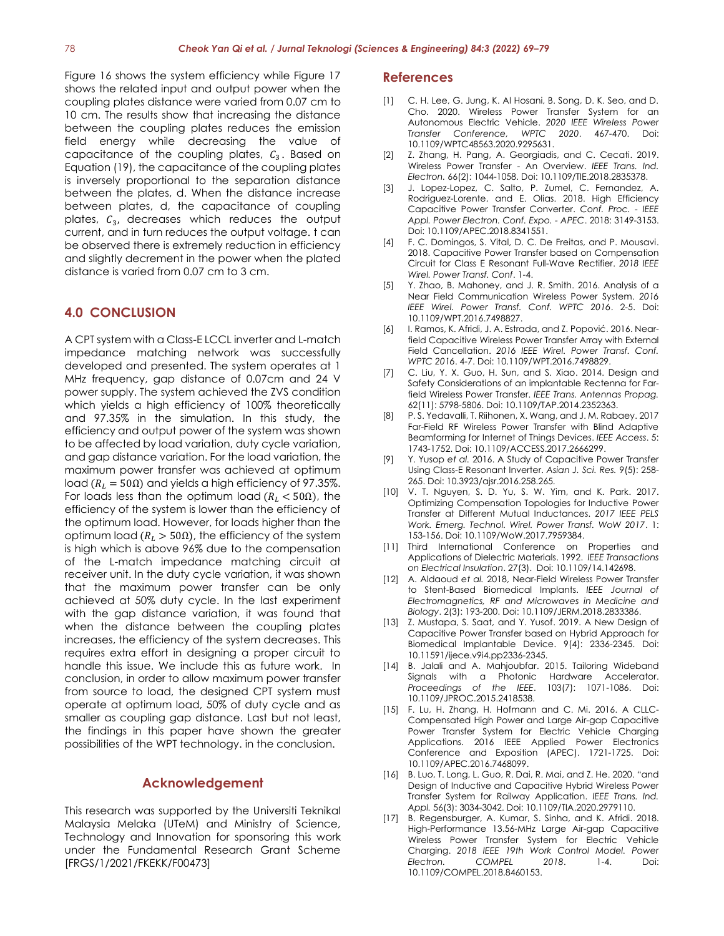Figure 16 shows the system efficiency while Figure 17 shows the related input and output power when the coupling plates distance were varied from 0.07 cm to 10 cm. The results show that increasing the distance between the coupling plates reduces the emission field energy while decreasing the value of capacitance of the coupling plates,  $c_3$ . Based on Equation (19), the capacitance of the coupling plates is inversely proportional to the separation distance between the plates, d. When the distance increase between plates, d, the capacitance of coupling plates,  $C_3$ , decreases which reduces the output current, and in turn reduces the output voltage. t can be observed there is extremely reduction in efficiency and slightly decrement in the power when the plated distance is varied from 0.07 cm to 3 cm.

# **4.0 CONCLUSION**

A CPT system with a Class-E LCCL inverter and L-match impedance matching network was successfully developed and presented. The system operates at 1 MHz frequency, gap distance of 0.07cm and 24 V power supply. The system achieved the ZVS condition which yields a high efficiency of 100% theoretically and 97.35% in the simulation. In this study, the efficiency and output power of the system was shown to be affected by load variation, duty cycle variation, and gap distance variation. For the load variation, the maximum power transfer was achieved at optimum load ( $R_1 = 50Ω$ ) and yields a high efficiency of 97.35%. For loads less than the optimum load ( $R_L < 50\Omega$ ), the efficiency of the system is lower than the efficiency of the optimum load. However, for loads higher than the optimum load ( $R_L > 50Ω$ ), the efficiency of the system is high which is above 96% due to the compensation of the L-match impedance matching circuit at receiver unit. In the duty cycle variation, it was shown that the maximum power transfer can be only achieved at 50% duty cycle. In the last experiment with the gap distance variation, it was found that when the distance between the coupling plates increases, the efficiency of the system decreases. This requires extra effort in designing a proper circuit to handle this issue. We include this as future work. In conclusion, in order to allow maximum power transfer from source to load, the designed CPT system must operate at optimum load, 50% of duty cycle and as smaller as coupling gap distance. Last but not least, the findings in this paper have shown the greater possibilities of the WPT technology. in the conclusion.

# **Acknowledgement**

This research was supported by the Universiti Teknikal Malaysia Melaka (UTeM) and Ministry of Science, Technology and Innovation for sponsoring this work under the Fundamental Research Grant Scheme [FRGS/1/2021/FKEKK/F00473]

#### **References**

- [1] C. H. Lee, G. Jung, K. Al Hosani, B. Song, D. K. Seo, and D. Cho. 2020. Wireless Power Transfer System for an Autonomous Electric Vehicle. *2020 IEEE Wireless Power Transfer Conference, WPTC 2020*. 467-470. Doi: 10.1109/WPTC48563.2020.9295631.
- [2] Z. Zhang, H. Pang, A. Georgiadis, and C. Cecati. 2019. Wireless Power Transfer - An Overview. *IEEE Trans. Ind. Electron.* 66(2): 1044-1058. Doi: 10.1109/TIE.2018.2835378.
- [3] J. Lopez-Lopez, C. Salto, P. Zumel, C. Fernandez, A. Rodriguez-Lorente, and E. Olias. 2018. High Efficiency Capacitive Power Transfer Converter. *Conf. Proc. - IEEE Appl. Power Electron. Conf. Expo. - APEC*. 2018: 3149-3153. Doi: 10.1109/APEC.2018.8341551.
- [4] F. C. Domingos, S. Vital, D. C. De Freitas, and P. Mousavi. 2018. Capacitive Power Transfer based on Compensation Circuit for Class E Resonant Full-Wave Rectifier. *2018 IEEE Wirel. Power Transf. Conf*. 1-4.
- [5] Y. Zhao, B. Mahoney, and J. R. Smith. 2016. Analysis of a Near Field Communication Wireless Power System. *2016 IEEE Wirel. Power Transf. Conf. WPTC 2016*. 2-5. Doi: 10.1109/WPT.2016.7498827.
- [6] I. Ramos, K. Afridi, J. A. Estrada, and Z. Popović. 2016. Nearfield Capacitive Wireless Power Transfer Array with External Field Cancellation. *2016 IEEE Wirel. Power Transf. Conf. WPTC 2016*. 4-7. Doi: 10.1109/WPT.2016.7498829.
- [7] C. Liu, Y. X. Guo, H. Sun, and S. Xiao. 2014. Design and Safety Considerations of an implantable Rectenna for Farfield Wireless Power Transfer. *IEEE Trans. Antennas Propag.* 62(11): 5798-5806. Doi: 10.1109/TAP.2014.2352363.
- [8] P. S. Yedavalli, T. Riihonen, X. Wang, and J. M. Rabaey. 2017 Far-Field RF Wireless Power Transfer with Blind Adaptive Beamforming for Internet of Things Devices. *IEEE Access*. 5: 1743-1752. Doi: 10.1109/ACCESS.2017.2666299.
- [9] Y. Yusop *et al.* 2016. A Study of Capacitive Power Transfer Using Class-E Resonant Inverter. *Asian J. Sci. Res.* 9(5): 258- 265. Doi: 10.3923/ajsr.2016.258.265.
- [10] V. T. Nguyen, S. D. Yu, S. W. Yim, and K. Park. 2017. Optimizing Compensation Topologies for Inductive Power Transfer at Different Mutual Inductances. *2017 IEEE PELS Work. Emerg. Technol. Wirel. Power Transf. WoW 2017*. 1: 153-156. Doi: 10.1109/WoW.2017.7959384.
- [11] Third International Conference on Properties and Applications of Dielectric Materials. 1992. *IEEE Transactions on Electrical Insulation*. 27(3). Doi: 10.1109/14.142698.
- [12] A. Aldaoud *et al.* 2018, Near-Field Wireless Power Transfer to Stent-Based Biomedical Implants. *IEEE Journal of Electromagnetics, RF and Microwaves in Medicine and Biology*. 2(3): 193-200. Doi: 10.1109/JERM.2018.2833386.
- [13] Z. Mustapa, S. Saat, and Y. Yusof. 2019. A New Design of Capacitive Power Transfer based on Hybrid Approach for Biomedical Implantable Device. 9(4): 2336-2345. Doi: 10.11591/ijece.v9i4.pp2336-2345.
- [14] B. Jalali and A. Mahjoubfar. 2015. Tailoring Wideband Signals with a Photonic Hardware Accelerator. *Proceedings of the IEEE*. 103(7): 1071-1086. Doi: 10.1109/JPROC.2015.2418538.
- [15] F. Lu, H. Zhang, H. Hofmann and C. Mi. 2016. A CLLC-Compensated High Power and Large Air-gap Capacitive Power Transfer System for Electric Vehicle Charging Applications. 2016 IEEE Applied Power Electronics Conference and Exposition (APEC). 1721-1725. Doi: 10.1109/APEC.2016.7468099.
- [16] B. Luo, T. Long, L. Guo, R. Dai, R. Mai, and Z. He. 2020. "and Design of Inductive and Capacitive Hybrid Wireless Power Transfer System for Railway Application. *IEEE Trans. Ind. Appl.* 56(3): 3034-3042. Doi: 10.1109/TIA.2020.2979110.
- [17] B. Regensburger, A. Kumar, S. Sinha, and K. Afridi. 2018. High-Performance 13.56-MHz Large Air-gap Capacitive Wireless Power Transfer System for Electric Vehicle Charging. *2018 IEEE 19th Work Control Model. Power Electron. COMPEL 2018*. 1-4. Doi: 10.1109/COMPEL.2018.8460153.